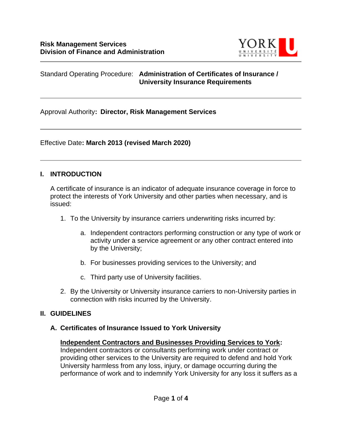

#### Standard Operating Procedure: **Administration of Certificates of Insurance / University Insurance Requirements**

Approval Authority**: Director, Risk Management Services**

Effective Date**: March 2013 (revised March 2020)**

#### **I. INTRODUCTION**

A certificate of insurance is an indicator of adequate insurance coverage in force to protect the interests of York University and other parties when necessary, and is issued:

- 1. To the University by insurance carriers underwriting risks incurred by:
	- a. Independent contractors performing construction or any type of work or activity under a service agreement or any other contract entered into by the University;
	- b. For businesses providing services to the University; and
	- c. Third party use of University facilities.
- 2. By the University or University insurance carriers to non-University parties in connection with risks incurred by the University.

### **II. GUIDELINES**

### **A. Certificates of Insurance Issued to York University**

### **Independent Contractors and Businesses Providing Services to York:**

Independent contractors or consultants performing work under contract or providing other services to the University are required to defend and hold York University harmless from any loss, injury, or damage occurring during the performance of work and to indemnify York University for any loss it suffers as a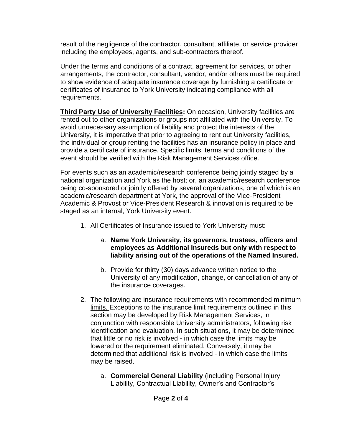result of the negligence of the contractor, consultant, affiliate, or service provider including the employees, agents, and sub-contractors thereof.

Under the terms and conditions of a contract, agreement for services, or other arrangements, the contractor, consultant, vendor, and/or others must be required to show evidence of adequate insurance coverage by furnishing a certificate or certificates of insurance to York University indicating compliance with all requirements.

**Third Party Use of University Facilities:** On occasion, University facilities are rented out to other organizations or groups not affiliated with the University. To avoid unnecessary assumption of liability and protect the interests of the University, it is imperative that prior to agreeing to rent out University facilities, the individual or group renting the facilities has an insurance policy in place and provide a certificate of insurance. Specific limits, terms and conditions of the event should be verified with the Risk Management Services office.

For events such as an academic/research conference being jointly staged by a national organization and York as the host; or, an academic/research conference being co-sponsored or jointly offered by several organizations, one of which is an academic/research department at York, the approval of the Vice-President Academic & Provost or Vice-President Research & innovation is required to be staged as an internal, York University event.

- 1. All Certificates of Insurance issued to York University must:
	- a. **Name York University, its governors, trustees, officers and employees as Additional Insureds but only with respect to liability arising out of the operations of the Named Insured.**
	- b. Provide for thirty (30) days advance written notice to the University of any modification, change, or cancellation of any of the insurance coverages.
- 2. The following are insurance requirements with recommended minimum limits. Exceptions to the insurance limit requirements outlined in this section may be developed by Risk Management Services, in conjunction with responsible University administrators, following risk identification and evaluation. In such situations, it may be determined that little or no risk is involved - in which case the limits may be lowered or the requirement eliminated. Conversely, it may be determined that additional risk is involved - in which case the limits may be raised.
	- a. **Commercial General Liability** (including Personal Injury Liability, Contractual Liability, Owner's and Contractor's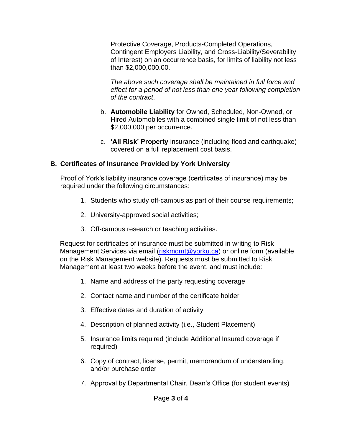Protective Coverage, Products-Completed Operations, Contingent Employers Liability, and Cross-Liability/Severability of Interest) on an occurrence basis, for limits of liability not less than \$2,000,000.00.

*The above such coverage shall be maintained in full force and effect for a period of not less than one year following completion of the contract*.

- b. **Automobile Liability** for Owned, Scheduled, Non-Owned, or Hired Automobiles with a combined single limit of not less than \$2,000,000 per occurrence.
- c. **'All Risk' Property** insurance (including flood and earthquake) covered on a full replacement cost basis.

### **B. Certificates of Insurance Provided by York University**

Proof of York's liability insurance coverage (certificates of insurance) may be required under the following circumstances:

- 1. Students who study off-campus as part of their course requirements;
- 2. University-approved social activities;
- 3. Off-campus research or teaching activities.

Request for certificates of insurance must be submitted in writing to Risk Management Services via email [\(riskmgmt@yorku.ca\)](mailto:riskmgmt@yorku.ca) or online form (available on the Risk Management website). Requests must be submitted to Risk Management at least two weeks before the event, and must include:

- 1. Name and address of the party requesting coverage
- 2. Contact name and number of the certificate holder
- 3. Effective dates and duration of activity
- 4. Description of planned activity (i.e., Student Placement)
- 5. Insurance limits required (include Additional Insured coverage if required)
- 6. Copy of contract, license, permit, memorandum of understanding, and/or purchase order
- 7. Approval by Departmental Chair, Dean's Office (for student events)